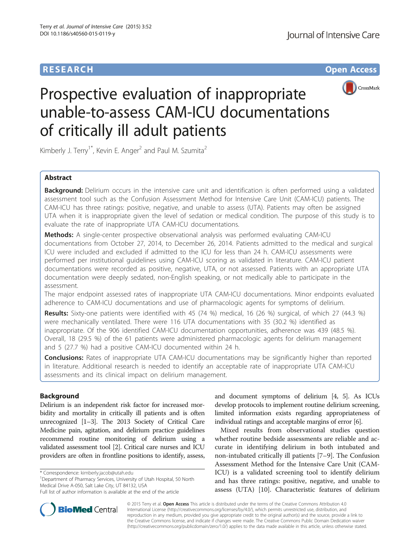# **RESEARCH RESEARCH** *CHECK CHECK CHECK CHECK CHECK CHECK CHECK CHECK CHECK CHECK CHECK CHECK CHECK CHECK CHECK CHECK CHECK CHECK CHECK CHECK CHECK CHECK CHECK CHECK CHECK CHECK CHECK CHECK CHECK CHECK CHECK CHECK CHECK*



# Prospective evaluation of inappropriate unable-to-assess CAM-ICU documentations of critically ill adult patients

Kimberly J. Terry<sup>1\*</sup>, Kevin E. Anger<sup>2</sup> and Paul M. Szumita<sup>2</sup>

# Abstract

Background: Delirium occurs in the intensive care unit and identification is often performed using a validated assessment tool such as the Confusion Assessment Method for Intensive Care Unit (CAM-ICU) patients. The CAM-ICU has three ratings: positive, negative, and unable to assess (UTA). Patients may often be assigned UTA when it is inappropriate given the level of sedation or medical condition. The purpose of this study is to evaluate the rate of inappropriate UTA CAM-ICU documentations.

**Methods:** A single-center prospective observational analysis was performed evaluating CAM-ICU documentations from October 27, 2014, to December 26, 2014. Patients admitted to the medical and surgical ICU were included and excluded if admitted to the ICU for less than 24 h. CAM-ICU assessments were performed per institutional guidelines using CAM-ICU scoring as validated in literature. CAM-ICU patient documentations were recorded as positive, negative, UTA, or not assessed. Patients with an appropriate UTA documentation were deeply sedated, non-English speaking, or not medically able to participate in the assessment.

The major endpoint assessed rates of inappropriate UTA CAM-ICU documentations. Minor endpoints evaluated adherence to CAM-ICU documentations and use of pharmacologic agents for symptoms of delirium.

Results: Sixty-one patients were identified with 45 (74 %) medical, 16 (26 %) surgical, of which 27 (44.3 %) were mechanically ventilated. There were 116 UTA documentations with 35 (30.2 %) identified as inappropriate. Of the 906 identified CAM-ICU documentation opportunities, adherence was 439 (48.5 %). Overall, 18 (29.5 %) of the 61 patients were administered pharmacologic agents for delirium management and 5 (27.7 %) had a positive CAM-ICU documented within 24 h.

**Conclusions:** Rates of inappropriate UTA CAM-ICU documentations may be significantly higher than reported in literature. Additional research is needed to identify an acceptable rate of inappropriate UTA CAM-ICU assessments and its clinical impact on delirium management.

# Background

Delirium is an independent risk factor for increased morbidity and mortality in critically ill patients and is often unrecognized [\[1](#page-4-0)–[3](#page-4-0)]. The 2013 Society of Critical Care Medicine pain, agitation, and delirium practice guidelines recommend routine monitoring of delirium using a validated assessment tool [\[2\]](#page-4-0). Critical care nurses and ICU providers are often in frontline positions to identify, assess,

<sup>1</sup>Department of Pharmacy Services, University of Utah Hospital, 50 North Medical Drive A-050, Salt Lake City, UT 84132, USA



Mixed results from observational studies question whether routine bedside assessments are reliable and accurate in identifying delirium in both intubated and non-intubated critically ill patients [[7](#page-4-0)–[9\]](#page-4-0). The Confusion Assessment Method for the Intensive Care Unit (CAM-ICU) is a validated screening tool to identify delirium and has three ratings: positive, negative, and unable to assess (UTA) [[10\]](#page-4-0). Characteristic features of delirium



© 2015 Terry et al. Open Access This article is distributed under the terms of the Creative Commons Attribution 4.0 International License [\(http://creativecommons.org/licenses/by/4.0/](http://creativecommons.org/licenses/by/4.0/)), which permits unrestricted use, distribution, and reproduction in any medium, provided you give appropriate credit to the original author(s) and the source, provide a link to the Creative Commons license, and indicate if changes were made. The Creative Commons Public Domain Dedication waiver [\(http://creativecommons.org/publicdomain/zero/1.0/](http://creativecommons.org/publicdomain/zero/1.0/)) applies to the data made available in this article, unless otherwise stated.

<sup>\*</sup> Correspondence: [kimberly.jacob@utah.edu](mailto:kimberly.jacob@utah.edu) <sup>1</sup>

Full list of author information is available at the end of the article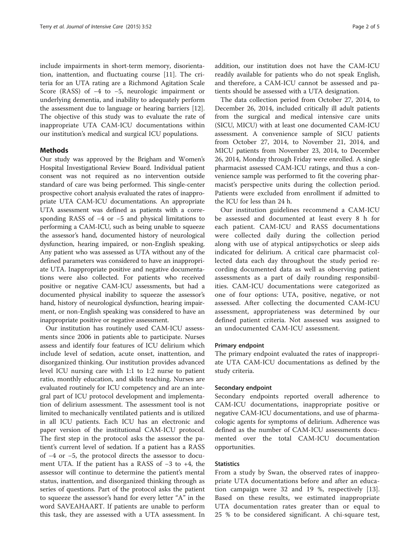include impairments in short-term memory, disorientation, inattention, and fluctuating course [\[11](#page-4-0)]. The criteria for an UTA rating are a Richmond Agitation Scale Score (RASS) of −4 to −5, neurologic impairment or underlying dementia, and inability to adequately perform the assessment due to language or hearing barriers [\[12](#page-4-0)]. The objective of this study was to evaluate the rate of inappropriate UTA CAM-ICU documentations within our institution's medical and surgical ICU populations.

#### **Methods**

Our study was approved by the Brigham and Women's Hospital Investigational Review Board. Individual patient consent was not required as no intervention outside standard of care was being performed. This single-center prospective cohort analysis evaluated the rates of inappropriate UTA CAM-ICU documentations. An appropriate UTA assessment was defined as patients with a corresponding RASS of −4 or −5 and physical limitations to performing a CAM-ICU, such as being unable to squeeze the assessor's hand, documented history of neurological dysfunction, hearing impaired, or non-English speaking. Any patient who was assessed as UTA without any of the defined parameters was considered to have an inappropriate UTA. Inappropriate positive and negative documentations were also collected. For patients who received positive or negative CAM-ICU assessments, but had a documented physical inability to squeeze the assessor's hand, history of neurological dysfunction, hearing impairment, or non-English speaking was considered to have an inappropriate positive or negative assessment.

Our institution has routinely used CAM-ICU assessments since 2006 in patients able to participate. Nurses assess and identify four features of ICU delirium which include level of sedation, acute onset, inattention, and disorganized thinking. Our institution provides advanced level ICU nursing care with 1:1 to 1:2 nurse to patient ratio, monthly education, and skills teaching. Nurses are evaluated routinely for ICU competency and are an integral part of ICU protocol development and implementation of delirium assessment. The assessment tool is not limited to mechanically ventilated patients and is utilized in all ICU patients. Each ICU has an electronic and paper version of the institutional CAM-ICU protocol. The first step in the protocol asks the assessor the patient's current level of sedation. If a patient has a RASS of −4 or −5, the protocol directs the assessor to document UTA. If the patient has a RASS of −3 to +4, the assessor will continue to determine the patient's mental status, inattention, and disorganized thinking through as series of questions. Part of the protocol asks the patient to squeeze the assessor's hand for every letter "A" in the word SAVEAHAART. If patients are unable to perform this task, they are assessed with a UTA assessment. In

addition, our institution does not have the CAM-ICU readily available for patients who do not speak English, and therefore, a CAM-ICU cannot be assessed and patients should be assessed with a UTA designation.

The data collection period from October 27, 2014, to December 26, 2014, included critically ill adult patients from the surgical and medical intensive care units (SICU, MICU) with at least one documented CAM-ICU assessment. A convenience sample of SICU patients from October 27, 2014, to November 21, 2014, and MICU patients from November 23, 2014, to December 26, 2014, Monday through Friday were enrolled. A single pharmacist assessed CAM-ICU ratings, and thus a convenience sample was performed to fit the covering pharmacist's perspective units during the collection period. Patients were excluded from enrollment if admitted to the ICU for less than 24 h.

Our institution guidelines recommend a CAM-ICU be assessed and documented at least every 8 h for each patient. CAM-ICU and RASS documentations were collected daily during the collection period along with use of atypical antipsychotics or sleep aids indicated for delirium. A critical care pharmacist collected data each day throughout the study period recording documented data as well as observing patient assessments as a part of daily rounding responsibilities. CAM-ICU documentations were categorized as one of four options: UTA, positive, negative, or not assessed. After collecting the documented CAM-ICU assessment, appropriateness was determined by our defined patient criteria. Not assessed was assigned to an undocumented CAM-ICU assessment.

#### Primary endpoint

The primary endpoint evaluated the rates of inappropriate UTA CAM-ICU documentations as defined by the study criteria.

#### Secondary endpoint

Secondary endpoints reported overall adherence to CAM-ICU documentations, inappropriate positive or negative CAM-ICU documentations, and use of pharmacologic agents for symptoms of delirium. Adherence was defined as the number of CAM-ICU assessments documented over the total CAM-ICU documentation opportunities.

#### **Statistics**

From a study by Swan, the observed rates of inappropriate UTA documentations before and after an education campaign were 32 and 19 %, respectively [\[13](#page-4-0)]. Based on these results, we estimated inappropriate UTA documentation rates greater than or equal to 25 % to be considered significant. A chi-square test,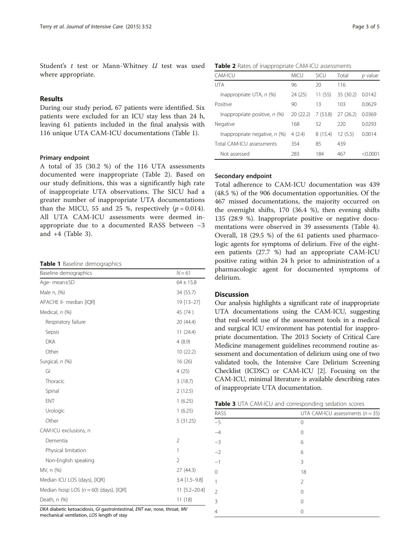Student's t test or Mann-Whitney U test was used where appropriate.

# Results

During our study period, 67 patients were identified. Six patients were excluded for an ICU stay less than 24 h, leaving 61 patients included in the final analysis with 116 unique UTA CAM-ICU documentations (Table 1).

#### Primary endpoint

A total of 35 (30.2 %) of the 116 UTA assessments documented were inappropriate (Table 2). Based on our study definitions, this was a significantly high rate of inappropriate UTA observations. The SICU had a greater number of inappropriate UTA documentations than the MICU, 55 and 25 %, respectively  $(p = 0.014)$ . All UTA CAM-ICU assessments were deemed inappropriate due to a documented RASS between −3 and +4 (Table 3).

#### Table 1 Baseline demographics

| Baseline demographics                      | $N = 61$       |  |
|--------------------------------------------|----------------|--|
| Age- mean±SD                               | $64 \pm 15.8$  |  |
| Male n, (%)                                | 34 (55.7)      |  |
| APACHE II- median [IQR]                    | 19 [13-27]     |  |
| Medical, n (%)                             | 45 (74)        |  |
| Respiratory failure                        | 20 (44.4)      |  |
| Sepsis                                     | 11(24.4)       |  |
| <b>DKA</b>                                 | 4(8.9)         |  |
| Other                                      | 10(22.2)       |  |
| Surgical, n (%)                            | 16(26)         |  |
| GI                                         | 4(25)          |  |
| Thoracic                                   | 3(18.7)        |  |
| Spinal                                     | 2(12.5)        |  |
| ENT                                        | 1(6.25)        |  |
| Urologic                                   | 1(6.25)        |  |
| Other                                      | 5(31.25)       |  |
| CAM-ICU exclusions, n                      |                |  |
| Dementia                                   | $\overline{2}$ |  |
| Physical limitation                        | 1              |  |
| Non-English speaking                       | $\overline{2}$ |  |
| MV, n (%)                                  | 27 (44.3)      |  |
| Median ICU LOS (days), [IQR]               | 3.4 [1.5-9.8]  |  |
| Median hosp LOS ( $n = 60$ ) (days), [IQR] | 11 [5.2-20.4]  |  |
| Death, n (%)                               | 11(18)         |  |

DKA diabetic ketoacidosis, GI gastrointestinal, ENT ear, nose, throat, MV mechanical ventilation, LOS length of stay

#### Table 2 Rates of inappropriate CAM-ICU assessments

| CAM-ICU                         | <b>MICU</b> | SICU    | Total     | p value  |
|---------------------------------|-------------|---------|-----------|----------|
| UTA                             | 96          | 20      | 116       |          |
| Inappropriate UTA, n (%)        | 24 (25)     | 11(55)  | 35 (30.2) | 0.0142   |
| Positive                        | 90          | 13      | 103       | 0.0629   |
| Inappropriate positive, $n$ (%) | 20(22.2)    | 7(53.8) | 27(26.2)  | 0.0369   |
| Negative                        | 168         | 52      | 220       | 0.0293   |
| Inappropriate negative, $n$ (%) | 4(2.4)      | 8(15.4) | 12(5.5)   | 0.0014   |
| Total CAM-ICU assessments       | 354         | 85      | 439       |          |
| Not assessed                    | 283         | 184     | 467       | < 0.0001 |

# Secondary endpoint

Total adherence to CAM-ICU documentation was 439 (48.5 %) of the 906 documentation opportunities. Of the 467 missed documentations, the majority occurred on the overnight shifts, 170 (36.4 %), then evening shifts 135 (28.9 %). Inappropriate positive or negative documentations were observed in 39 assessments (Table [4](#page-3-0)). Overall, 18 (29.5 %) of the 61 patients used pharmacologic agents for symptoms of delirium. Five of the eighteen patients (27.7 %) had an appropriate CAM-ICU positive rating within 24 h prior to administration of a pharmacologic agent for documented symptoms of delirium.

### **Discussion**

Our analysis highlights a significant rate of inappropriate UTA documentations using the CAM-ICU, suggesting that real-world use of the assessment tools in a medical and surgical ICU environment has potential for inappropriate documentation. The 2013 Society of Critical Care Medicine management guidelines recommend routine assessment and documentation of delirium using one of two validated tools, the Intensive Care Delirium Screening Checklist (ICDSC) or CAM-ICU [\[2](#page-4-0)]. Focusing on the CAM-ICU, minimal literature is available describing rates of inappropriate UTA documentation.

| RASS          | UTA CAM-ICU assessments $(n = 35)$ |
|---------------|------------------------------------|
| $-5$          | 0                                  |
| $-4$          | 0                                  |
| $-3$          | 6                                  |
| $-2$          | 6                                  |
| $-1$          | 3                                  |
|               | 18                                 |
|               | $\mathfrak{D}$                     |
| $\mathcal{P}$ | 0                                  |
| 3             | Ω                                  |
| 4             | 0                                  |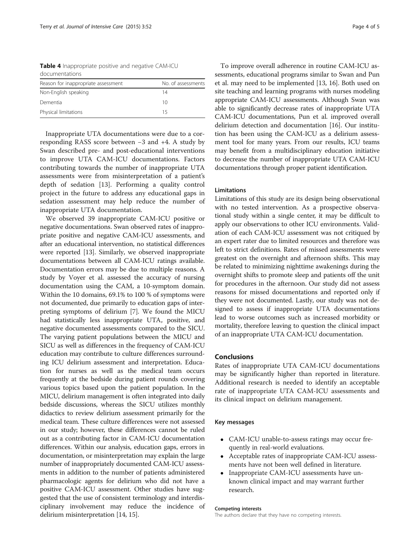<span id="page-3-0"></span>Table 4 Inappropriate positive and negative CAM-ICU documentations

| Reason for inappropriate assessment | No. of assessments |
|-------------------------------------|--------------------|
| Non-English speaking                | 14                 |
| Dementia                            | 10                 |
| Physical limitations                | 15                 |

Inappropriate UTA documentations were due to a corresponding RASS score between −3 and +4. A study by Swan described pre- and post-educational interventions to improve UTA CAM-ICU documentations. Factors contributing towards the number of inappropriate UTA assessments were from misinterpretation of a patient's depth of sedation [\[13](#page-4-0)]. Performing a quality control project in the future to address any educational gaps in sedation assessment may help reduce the number of inappropriate UTA documentation.

We observed 39 inappropriate CAM-ICU positive or negative documentations. Swan observed rates of inappropriate positive and negative CAM-ICU assessments, and after an educational intervention, no statistical differences were reported [\[13\]](#page-4-0). Similarly, we observed inappropriate documentations between all CAM-ICU ratings available. Documentation errors may be due to multiple reasons. A study by Voyer et al. assessed the accuracy of nursing documentation using the CAM, a 10-symptom domain. Within the 10 domains, 69.1% to 100 % of symptoms were not documented, due primarily to education gaps of interpreting symptoms of delirium [[7](#page-4-0)]. We found the MICU had statistically less inappropriate UTA, positive, and negative documented assessments compared to the SICU. The varying patient populations between the MICU and SICU as well as differences in the frequency of CAM-ICU education may contribute to culture differences surrounding ICU delirium assessment and interpretation. Education for nurses as well as the medical team occurs frequently at the bedside during patient rounds covering various topics based upon the patient population. In the MICU, delirium management is often integrated into daily bedside discussions, whereas the SICU utilizes monthly didactics to review delirium assessment primarily for the medical team. These culture differences were not assessed in our study; however, these differences cannot be ruled out as a contributing factor in CAM-ICU documentation differences. Within our analysis, education gaps, errors in documentation, or misinterpretation may explain the large number of inappropriately documented CAM-ICU assessments in addition to the number of patients administered pharmacologic agents for delirium who did not have a positive CAM-ICU assessment. Other studies have suggested that the use of consistent terminology and interdisciplinary involvement may reduce the incidence of delirium misinterpretation [\[14, 15](#page-4-0)].

To improve overall adherence in routine CAM-ICU assessments, educational programs similar to Swan and Pun et al. may need to be implemented [[13](#page-4-0), [16](#page-4-0)]. Both used on site teaching and learning programs with nurses modeling appropriate CAM-ICU assessments. Although Swan was able to significantly decrease rates of inappropriate UTA CAM-ICU documentations, Pun et al. improved overall delirium detection and documentation [\[16](#page-4-0)]. Our institution has been using the CAM-ICU as a delirium assessment tool for many years. From our results, ICU teams may benefit from a multidisciplinary education initiative to decrease the number of inappropriate UTA CAM-ICU documentations through proper patient identification.

# Limitations

Limitations of this study are its design being observational with no tested intervention. As a prospective observational study within a single center, it may be difficult to apply our observations to other ICU environments. Validation of each CAM-ICU assessment was not critiqued by an expert rater due to limited resources and therefore was left to strict definitions. Rates of missed assessments were greatest on the overnight and afternoon shifts. This may be related to minimizing nighttime awakenings during the overnight shifts to promote sleep and patients off the unit for procedures in the afternoon. Our study did not assess reasons for missed documentations and reported only if they were not documented. Lastly, our study was not designed to assess if inappropriate UTA documentations lead to worse outcomes such as increased morbidity or mortality, therefore leaving to question the clinical impact of an inappropriate UTA CAM-ICU documentation.

### Conclusions

Rates of inappropriate UTA CAM-ICU documentations may be significantly higher than reported in literature. Additional research is needed to identify an acceptable rate of inappropriate UTA CAM-ICU assessments and its clinical impact on delirium management.

#### Key messages

- CAM-ICU unable-to-assess ratings may occur frequently in real-world evaluations.
- Acceptable rates of inappropriate CAM-ICU assessments have not been well defined in literature.
- Inappropriate CAM-ICU assessments have unknown clinical impact and may warrant further research.

#### Competing interests

The authors declare that they have no competing interests.